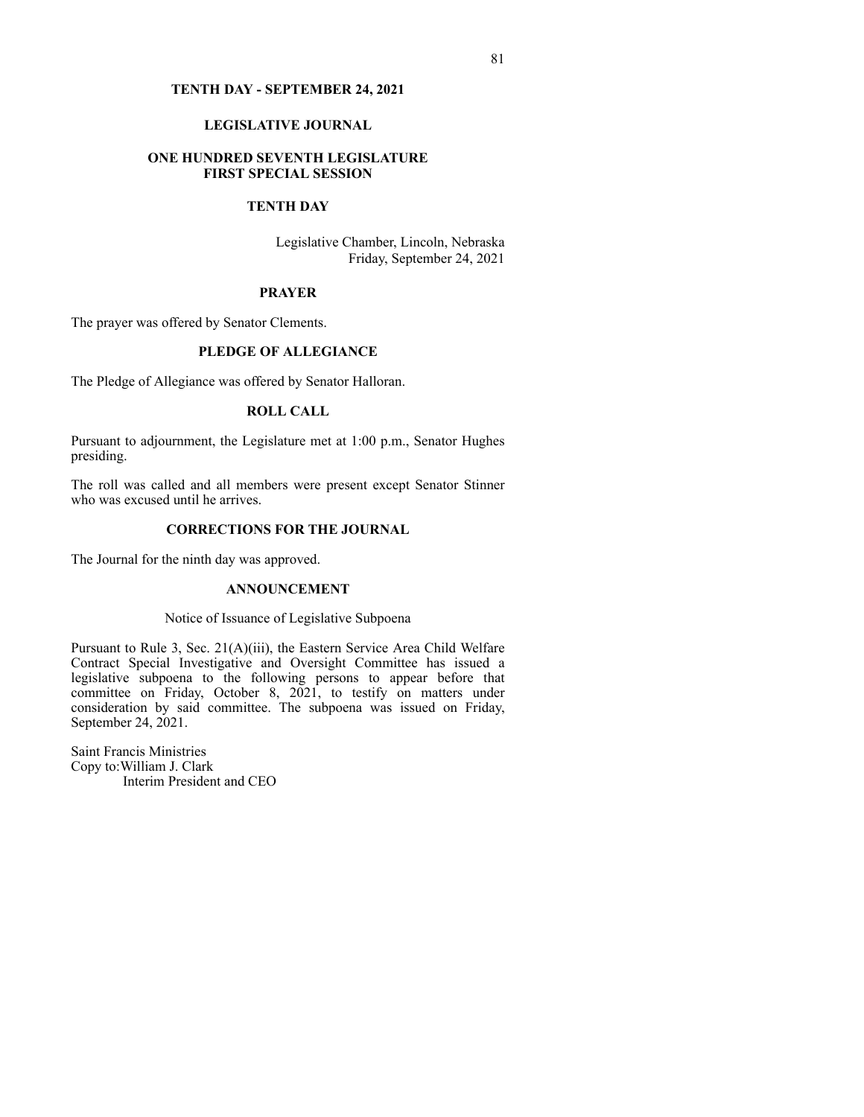#### **TENTH DAY - SEPTEMBER 24, 2021**

## **LEGISLATIVE JOURNAL**

## **ONE HUNDRED SEVENTH LEGISLATURE FIRST SPECIAL SESSION**

## **TENTH DAY**

Legislative Chamber, Lincoln, Nebraska Friday, September 24, 2021

### **PRAYER**

The prayer was offered by Senator Clements.

## **PLEDGE OF ALLEGIANCE**

The Pledge of Allegiance was offered by Senator Halloran.

## **ROLL CALL**

Pursuant to adjournment, the Legislature met at 1:00 p.m., Senator Hughes presiding.

The roll was called and all members were present except Senator Stinner who was excused until he arrives.

## **CORRECTIONS FOR THE JOURNAL**

The Journal for the ninth day was approved.

### **ANNOUNCEMENT**

### Notice of Issuance of Legislative Subpoena

Pursuant to Rule 3, Sec. 21(A)(iii), the Eastern Service Area Child Welfare Contract Special Investigative and Oversight Committee has issued a legislative subpoena to the following persons to appear before that committee on Friday, October 8, 2021, to testify on matters under consideration by said committee. The subpoena was issued on Friday, September 24, 2021.

Saint Francis Ministries Copy to:William J. Clark Interim President and CEO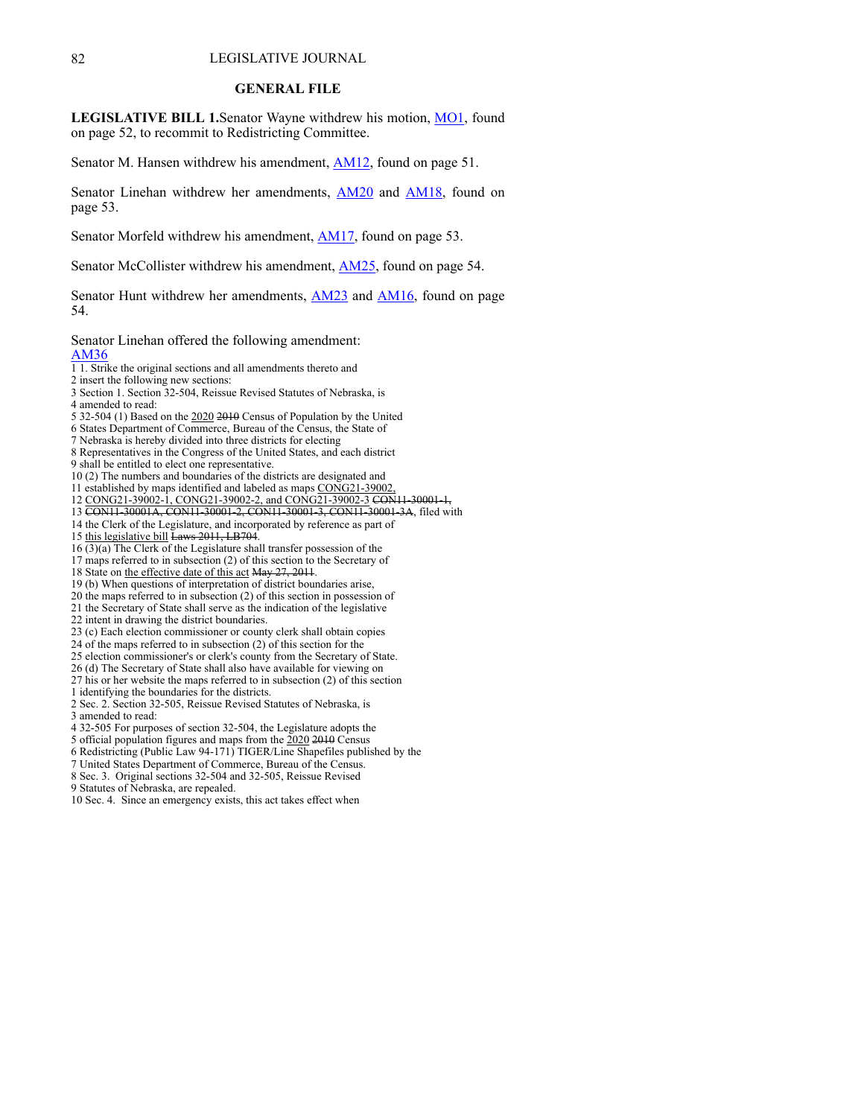#### 82 LEGISLATIVE JOURNAL

#### **GENERAL FILE**

**LEGISLATIVE BILL 1.**Senator Wayne withdrew his motion, [MO1](https://www.nebraskalegislature.gov/FloorDocs/107/PDF/AM/MO1.pdf), found on page 52, to recommit to Redistricting Committee.

Senator M. Hansen withdrew his amendment, **[AM12](https://www.nebraskalegislature.gov/FloorDocs/107/PDF/AM/AM12.pdf)**, found on page 51.

Senator Linehan withdrew her amendments, [AM20](https://www.nebraskalegislature.gov/FloorDocs/107/PDF/AM/AM20.pdf) and [AM18,](https://www.nebraskalegislature.gov/FloorDocs/107/PDF/AM/AM18.pdf) found on page 53.

Senator Morfeld withdrew his amendment, [AM17](https://www.nebraskalegislature.gov/FloorDocs/107/PDF/AM/AM17.pdf), found on page 53.

Senator McCollister withdrew his amendment, [AM25](https://www.nebraskalegislature.gov/FloorDocs/107/PDF/AM/AM25.pdf), found on page 54.

Senator Hunt withdrew her amendments, [AM23](https://www.nebraskalegislature.gov/FloorDocs/107/PDF/AM/AM23.pdf) and [AM16,](https://www.nebraskalegislature.gov/FloorDocs/107/PDF/AM/AM16.pdf) found on page 54.

Senator Linehan offered the following amendment: [AM36](https://www.nebraskalegislature.gov/FloorDocs/107/PDF/AM/AM36.pdf)

1 1. Strike the original sections and all amendments thereto and

2 insert the following new sections:

- 3 Section 1. Section 32-504, Reissue Revised Statutes of Nebraska, is 4 amended to read:
- 
- 5 32-504 (1) Based on the 2020 2010 Census of Population by the United

6 States Department of Commerce, Bureau of the Census, the State of

- 7 Nebraska is hereby divided into three districts for electing
- 8 Representatives in the Congress of the United States, and each district 9 shall be entitled to elect one representative.

10 (2) The numbers and boundaries of the districts are designated and

11 established by maps identified and labeled as maps CONG21-39002,

- 12 CONG21-39002-1, CONG21-39002-2, and CONG21-39002-3 CON11-30001-1,
- 13 CON11-30001A, CON11-30001-2, CON11-30001-3, CON11-30001-3A, filed with
- 14 the Clerk of the Legislature, and incorporated by reference as part of

15 this legislative bill Laws 2011, LB704.

 $16 \overline{(3)}$  The Clerk of the Legislature shall transfer possession of the

- 17 maps referred to in subsection (2) of this section to the Secretary of
- 18 State on the effective date of this act May 27, 2011.
- 19 (b) When questions of interpretation of district boundaries arise,
- 20 the maps referred to in subsection (2) of this section in possession of
- 21 the Secretary of State shall serve as the indication of the legislative
- 22 intent in drawing the district boundaries.
- 23 (c) Each election commissioner or county clerk shall obtain copies
- 24 of the maps referred to in subsection (2) of this section for the
- 25 election commissioner's or clerk's county from the Secretary of State.
- 26 (d) The Secretary of State shall also have available for viewing on
- 27 his or her website the maps referred to in subsection (2) of this section 1 identifying the boundaries for the districts.

2 Sec. 2. Section 32-505, Reissue Revised Statutes of Nebraska, is

3 amended to read:

4 32-505 For purposes of section 32-504, the Legislature adopts the

5 official population figures and maps from the 2020 2010 Census

6 Redistricting (Public Law 94-171) TIGER/Line Shapefiles published by the

- 7 United States Department of Commerce, Bureau of the Census.
- 8 Sec. 3. Original sections 32-504 and 32-505, Reissue Revised
- 9 Statutes of Nebraska, are repealed.

10 Sec. 4. Since an emergency exists, this act takes effect when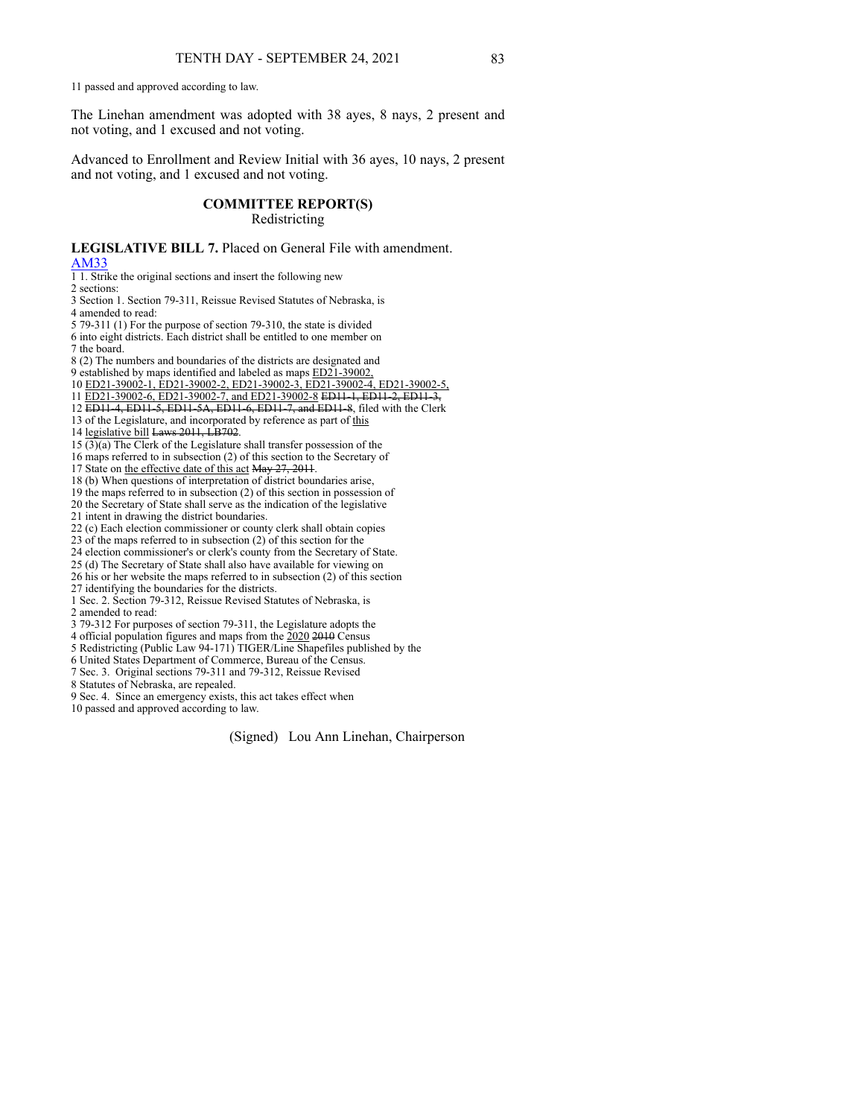11 passed and approved according to law.

The Linehan amendment was adopted with 38 ayes, 8 nays, 2 present and not voting, and 1 excused and not voting.

Advanced to Enrollment and Review Initial with 36 ayes, 10 nays, 2 present and not voting, and 1 excused and not voting.

## **COMMITTEE REPORT(S)**

Redistricting

**LEGISLATIVE BILL 7.** Placed on General File with amendment. [AM33](https://www.nebraskalegislature.gov/FloorDocs/107/PDF/AM/AM33.pdf)

1 1. Strike the original sections and insert the following new

2 sections:

3 Section 1. Section 79-311, Reissue Revised Statutes of Nebraska, is 4 amended to read:

5 79-311 (1) For the purpose of section 79-310, the state is divided 6 into eight districts. Each district shall be entitled to one member on

7 the board.

- 8 (2) The numbers and boundaries of the districts are designated and
- 9 established by maps identified and labeled as maps ED21-39002,
- 10 ED21-39002-1, ED21-39002-2, ED21-39002-3, ED21-39002-4, ED21-39002-5,
- 11 ED21-39002-6, ED21-39002-7, and ED21-39002-8 ED11-1, ED11-2, ED11-3,
- 12 ED11-4, ED11-5, ED11-5A, ED11-6, ED11-7, and ED11-8, filed with the Clerk
- 13 of the Legislature, and incorporated by reference as part of this

14 legislative bill Laws 2011, LB702.

 $15 \overline{(3)}$ (a) The Clerk of the Legislature shall transfer possession of the

16 maps referred to in subsection (2) of this section to the Secretary of

17 State on the effective date of this act May 27, 2011.

18 (b) When questions of interpretation of district boundaries arise,

19 the maps referred to in subsection (2) of this section in possession of

20 the Secretary of State shall serve as the indication of the legislative

21 intent in drawing the district boundaries.

22 (c) Each election commissioner or county clerk shall obtain copies

23 of the maps referred to in subsection (2) of this section for the

24 election commissioner's or clerk's county from the Secretary of State.

25 (d) The Secretary of State shall also have available for viewing on

26 his or her website the maps referred to in subsection (2) of this section

27 identifying the boundaries for the districts.

1 Sec. 2. Section 79-312, Reissue Revised Statutes of Nebraska, is 2 amended to read:

3 79-312 For purposes of section 79-311, the Legislature adopts the

4 official population figures and maps from the  $2020$  2010 Census

5 Redistricting (Public Law 94-171) TIGER/Line Shapefiles published by the

6 United States Department of Commerce, Bureau of the Census.

7 Sec. 3. Original sections 79-311 and 79-312, Reissue Revised

8 Statutes of Nebraska, are repealed.

9 Sec. 4. Since an emergency exists, this act takes effect when

10 passed and approved according to law.

(Signed) Lou Ann Linehan, Chairperson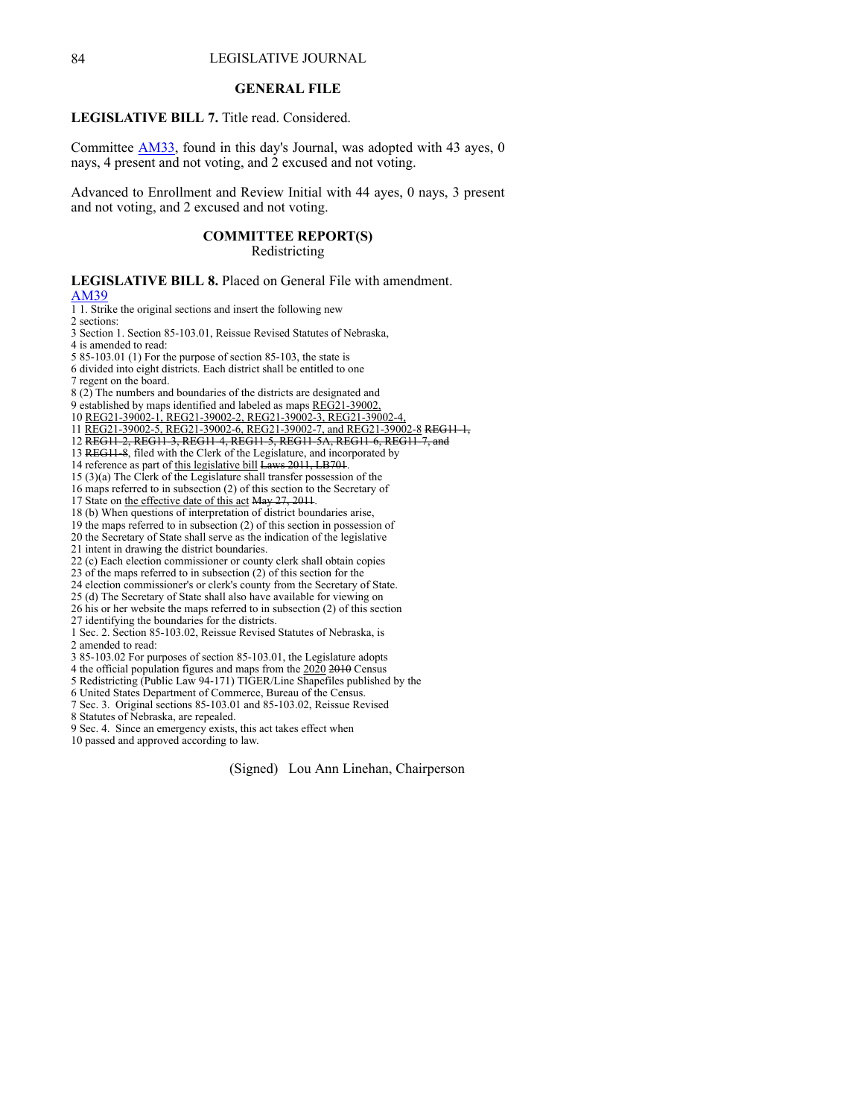## 84 LEGISLATIVE JOURNAL

### **GENERAL FILE**

**LEGISLATIVE BILL 7.** Title read. Considered.

Committee [AM33](https://www.nebraskalegislature.gov/FloorDocs/107/PDF/AM/AM33.pdf), found in this day's Journal, was adopted with 43 ayes, 0 nays, 4 present and not voting, and 2 excused and not voting.

Advanced to Enrollment and Review Initial with 44 ayes, 0 nays, 3 present and not voting, and 2 excused and not voting.

## **COMMITTEE REPORT(S)**

Redistricting

**LEGISLATIVE BILL 8.** Placed on General File with amendment. [AM39](https://www.nebraskalegislature.gov/FloorDocs/107/PDF/AM/AM39.pdf) 1 1. Strike the original sections and insert the following new

2 sections:

3 Section 1. Section 85-103.01, Reissue Revised Statutes of Nebraska,

4 is amended to read:

5 85-103.01 (1) For the purpose of section 85-103, the state is 6 divided into eight districts. Each district shall be entitled to one

7 regent on the board.

8 (2) The numbers and boundaries of the districts are designated and

9 established by maps identified and labeled as maps REG21-39002,

10 REG21-39002-1, REG21-39002-2, REG21-39002-3, REG21-39002-4,

11 REG21-39002-5, REG21-39002-6, REG21-39002-7, and REG21-39002-8 REG11-1,

12 REG11-2, REG11-3, REG11-4, REG11-5, REG11-5A, REG11-6, REG11-7, and

13 REG11-8, filed with the Clerk of the Legislature, and incorporated by

14 reference as part of this legislative bill Laws 2011, LB701.

15 (3)(a) The Clerk of the Legislature shall transfer possession of the

16 maps referred to in subsection (2) of this section to the Secretary of

17 State on the effective date of this act May 27, 2011.

18 (b) When questions of interpretation of district boundaries arise,

19 the maps referred to in subsection (2) of this section in possession of

20 the Secretary of State shall serve as the indication of the legislative

21 intent in drawing the district boundaries.

22 (c) Each election commissioner or county clerk shall obtain copies

23 of the maps referred to in subsection (2) of this section for the

24 election commissioner's or clerk's county from the Secretary of State.

25 (d) The Secretary of State shall also have available for viewing on 26 his or her website the maps referred to in subsection (2) of this section

27 identifying the boundaries for the districts.

1 Sec. 2. Section 85-103.02, Reissue Revised Statutes of Nebraska, is 2 amended to read:

3 85-103.02 For purposes of section 85-103.01, the Legislature adopts

4 the official population figures and maps from the 2020 2010 Census

5 Redistricting (Public Law 94-171) TIGER/Line Shapefiles published by the

6 United States Department of Commerce, Bureau of the Census.

7 Sec. 3. Original sections 85-103.01 and 85-103.02, Reissue Revised

8 Statutes of Nebraska, are repealed.

9 Sec. 4. Since an emergency exists, this act takes effect when 10 passed and approved according to law.

(Signed) Lou Ann Linehan, Chairperson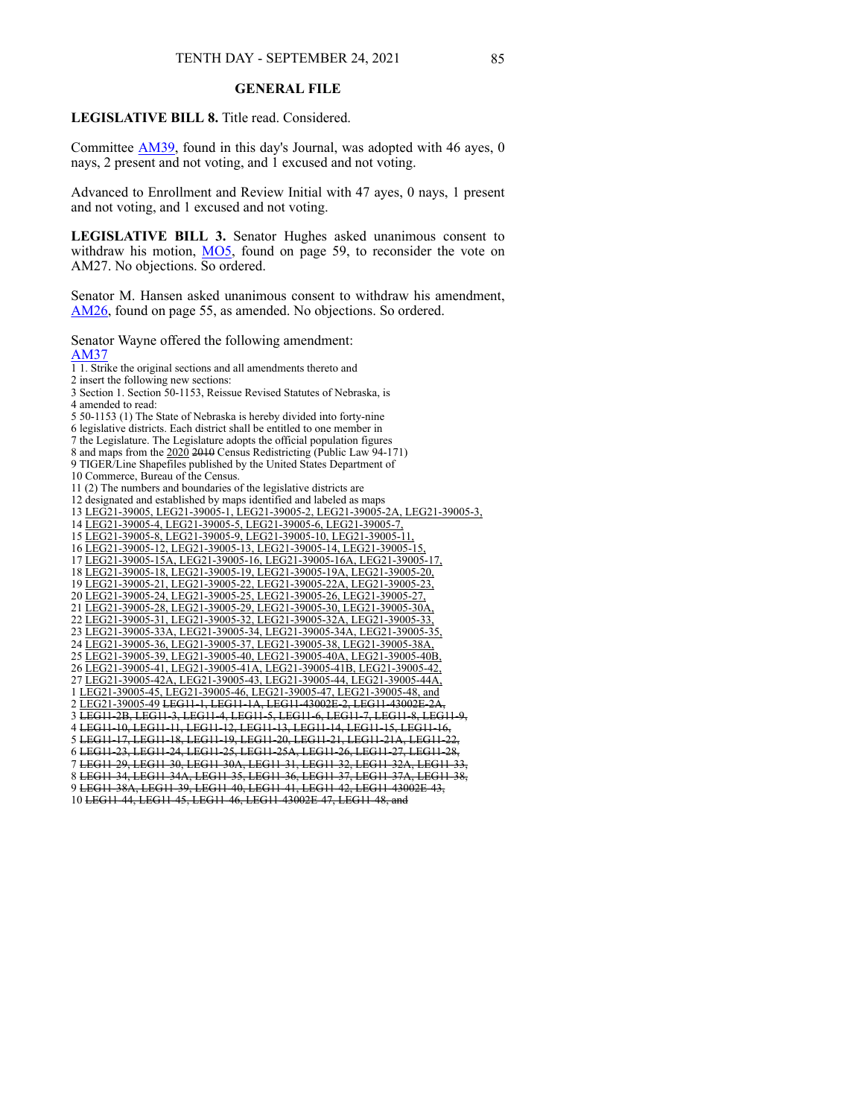## **GENERAL FILE**

**LEGISLATIVE BILL 8.** Title read. Considered.

Committee [AM39](https://www.nebraskalegislature.gov/FloorDocs/107/PDF/AM/AM39.pdf), found in this day's Journal, was adopted with 46 ayes, 0 nays, 2 present and not voting, and 1 excused and not voting.

Advanced to Enrollment and Review Initial with 47 ayes, 0 nays, 1 present and not voting, and 1 excused and not voting.

**LEGISLATIVE BILL 3.** Senator Hughes asked unanimous consent to withdraw his motion, [MO5](https://www.nebraskalegislature.gov/FloorDocs/107/PDF/AM/MO5.pdf), found on page 59, to reconsider the vote on AM27. No objections. So ordered.

Senator M. Hansen asked unanimous consent to withdraw his amendment, [AM26](https://www.nebraskalegislature.gov/FloorDocs/107/PDF/AM/AM26.pdf), found on page 55, as amended. No objections. So ordered.

Senator Wayne offered the following amendment: [AM37](https://www.nebraskalegislature.gov/FloorDocs/107/PDF/AM/AM37.pdf)

1 1. Strike the original sections and all amendments thereto and

2 insert the following new sections:

3 Section 1. Section 50-1153, Reissue Revised Statutes of Nebraska, is 4 amended to read:

5 50-1153 (1) The State of Nebraska is hereby divided into forty-nine

6 legislative districts. Each district shall be entitled to one member in

7 the Legislature. The Legislature adopts the official population figures

8 and maps from the  $\frac{2020}{2010}$  2010 Census Redistricting (Public Law 94-171)

9 TIGER/Line Shapefiles published by the United States Department of

10 Commerce, Bureau of the Census.

11 (2) The numbers and boundaries of the legislative districts are

12 designated and established by maps identified and labeled as maps

13 LEG21-39005, LEG21-39005-1, LEG21-39005-2, LEG21-39005-2A, LEG21-39005-3,

14 LEG21-39005-4, LEG21-39005-5, LEG21-39005-6, LEG21-39005-7,

15 LEG21-39005-8, LEG21-39005-9, LEG21-39005-10, LEG21-39005-11,

16 LEG21-39005-12, LEG21-39005-13, LEG21-39005-14, LEG21-39005-15,

17 LEG21-39005-15A, LEG21-39005-16, LEG21-39005-16A, LEG21-39005-17,

18 LEG21-39005-18, LEG21-39005-19, LEG21-39005-19A, LEG21-39005-20,

19 LEG21-39005-21, LEG21-39005-22, LEG21-39005-22A, LEG21-39005-23, 20 LEG21-39005-24, LEG21-39005-25, LEG21-39005-26, LEG21-39005-27,

21 LEG21-39005-28, LEG21-39005-29, LEG21-39005-30, LEG21-39005-30A,

22 LEG21-39005-31, LEG21-39005-32, LEG21-39005-32A, LEG21-39005-33,

23 LEG21-39005-33A, LEG21-39005-34, LEG21-39005-34A, LEG21-39005-35,

24 LEG21-39005-36, LEG21-39005-37, LEG21-39005-38, LEG21-39005-38A,

25 LEG21-39005-39, LEG21-39005-40, LEG21-39005-40A, LEG21-39005-40B, 26 LEG21-39005-41, LEG21-39005-41A, LEG21-39005-41B, LEG21-39005-42, 27 LEG21-39005-42A, LEG21-39005-43, LEG21-39005-44, LEG21-39005-44A, 1 LEG21-39005-45, LEG21-39005-46, LEG21-39005-47, LEG21-39005-48, and

2 LEG21-39005-49 LEG11-1, LEG11-1A, LEG11-43002E-2, LEG11-43002E-2A, 3 LEG11-2B, LEG11-3, LEG11-4, LEG11-5, LEG11-6, LEG11-7, LEG11-8, LEG11-9,

4 LEG11-10, LEG11-11, LEG11-12, LEG11-13, LEG11-14, LEG11-15, LEG11-16, 5 LEG11-17, LEG11-18, LEG11-19, LEG11-20, LEG11-21, LEG11-21A, LEG11-22,

6 LEG11-23, LEG11-24, LEG11-25, LEG11-25A, LEG11-26, LEG11-27, LEG11-28,

7 LEG11-29, LEG11-30, LEG11-30A, LEG11-31, LEG11-32, LEG11-32A, LEG11-33,

8 LEG11-34, LEG11-34A, LEG11-35, LEG11-36, LEG11-37, LEG11-37A, LEG11-38, 9 LEG11-38A, LEG11-39, LEG11-40, LEG11-41, LEG11-42, LEG11-43002E-43,

10 LEG11-44, LEG11-45, LEG11-46, LEG11-43002E-47, LEG11-48, and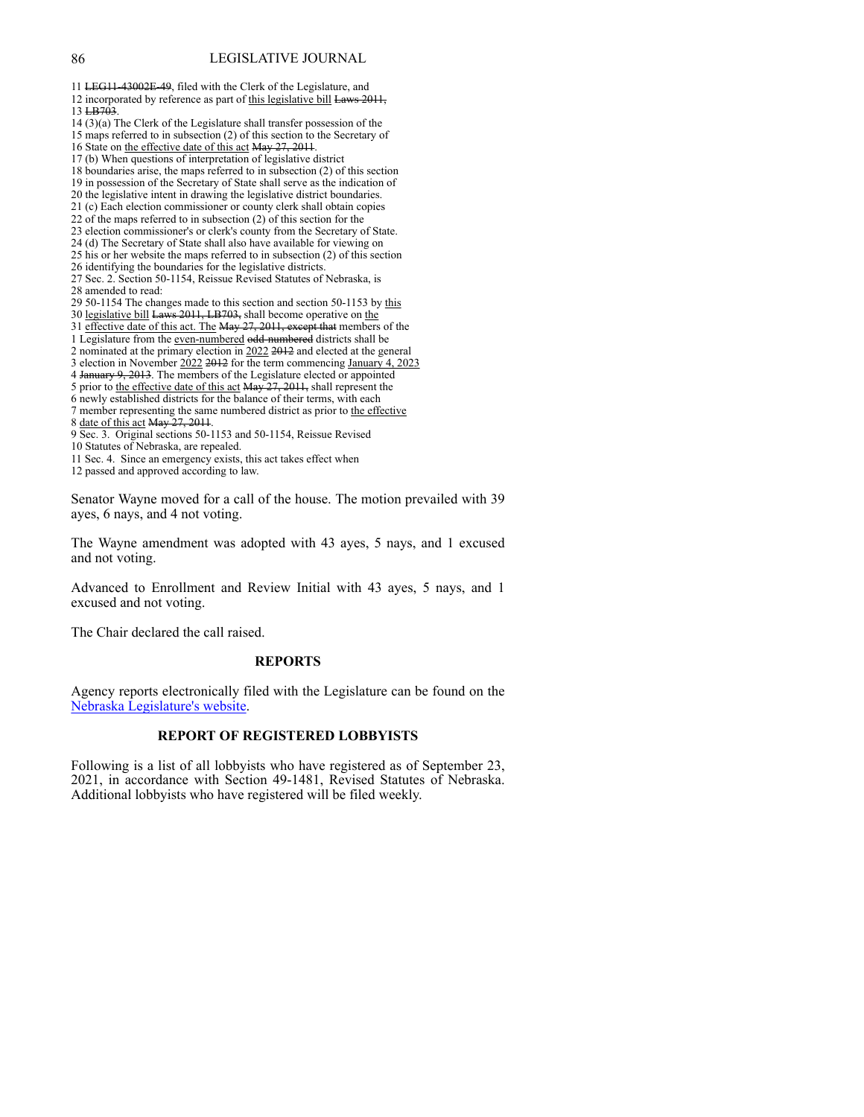11 LEG11-43002E-49, filed with the Clerk of the Legislature, and 12 incorporated by reference as part of this legislative bill Laws 2011, 13 LB703. 14 (3)(a) The Clerk of the Legislature shall transfer possession of the 15 maps referred to in subsection (2) of this section to the Secretary of 16 State on the effective date of this act May 27, 2011. 17 (b) When questions of interpretation of legislative district 18 boundaries arise, the maps referred to in subsection (2) of this section 19 in possession of the Secretary of State shall serve as the indication of 20 the legislative intent in drawing the legislative district boundaries. 21 (c) Each election commissioner or county clerk shall obtain copies 22 of the maps referred to in subsection (2) of this section for the 23 election commissioner's or clerk's county from the Secretary of State. 24 (d) The Secretary of State shall also have available for viewing on 25 his or her website the maps referred to in subsection (2) of this section 26 identifying the boundaries for the legislative districts. 27 Sec. 2. Section 50-1154, Reissue Revised Statutes of Nebraska, is 28 amended to read: 29 50-1154 The changes made to this section and section 50-1153 by this 30 legislative bill Laws 2011, LB703, shall become operative on the 31 effective date of this act. The May 27, 2011, except that members of the 1 Legislature from the even-numbered odd-numbered districts shall be 2 nominated at the primary election in 2022 2012 and elected at the general 3 election in November 2022 2012 for the term commencing January 4, 2023 4 January 9, 2013. The members of the Legislature elected or appointed 5 prior to the effective date of this act May 27, 2011, shall represent the 6 newly established districts for the balance of their terms, with each 7 member representing the same numbered district as prior to the effective 8 date of this act May 27, 2011. 9 Sec. 3. Original sections 50-1153 and 50-1154, Reissue Revised 10 Statutes of Nebraska, are repealed. 11 Sec. 4. Since an emergency exists, this act takes effect when 12 passed and approved according to law. Senator Wayne moved for a call of the house. The motion prevailed with 39

ayes, 6 nays, and 4 not voting.

The Wayne amendment was adopted with 43 ayes, 5 nays, and 1 excused and not voting.

Advanced to Enrollment and Review Initial with 43 ayes, 5 nays, and 1 excused and not voting.

The Chair declared the call raised.

### **REPORTS**

Agency reports electr[on](http://www.nebraskalegislature.gov/agencies/view.php)ically filed with the Legislature can be found on the [Nebraska](http://www.nebraskalegislature.gov/agencies/view.php) [Legislature's](http://www.nebraskalegislature.gov/agencies/view.php) [website.](http://www.nebraskalegislature.gov/agencies/view.php)

## **REPORT OF REGISTERED LOBBYISTS**

Following is a list of all lobbyists who have registered as of September 23, 2021, in accordance with Section 49-1481, Revised Statutes of Nebraska. Additional lobbyists who have registered will be filed weekly.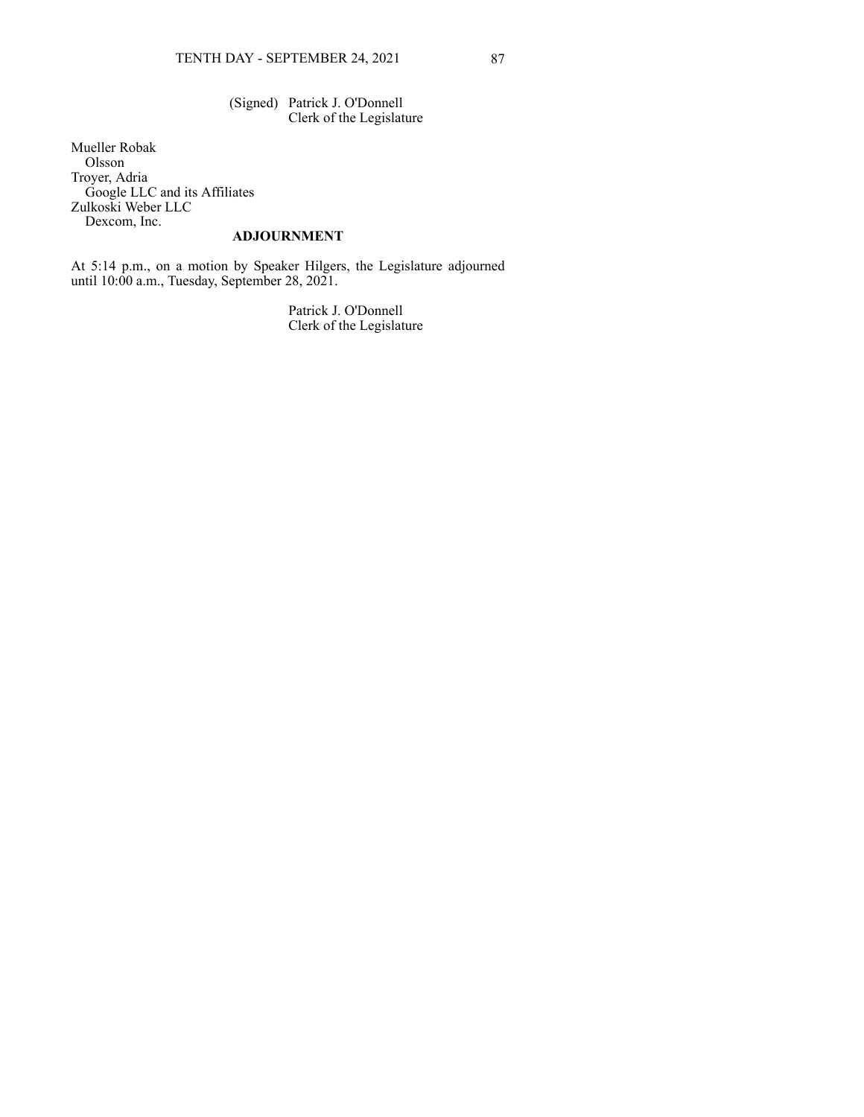(Signed) Patrick J. O'Donnell Clerk of the Legislature

Mueller Robak Olsson Troyer, Adria Google LLC and its Affiliates Zulkoski Weber LLC Dexcom, Inc.

# **ADJOURNMENT**

At 5:14 p.m., on a motion by Speaker Hilgers, the Legislature adjourned until 10:00 a.m., Tuesday, September 28, 2021.

> Patrick J. O'Donnell Clerk of the Legislature